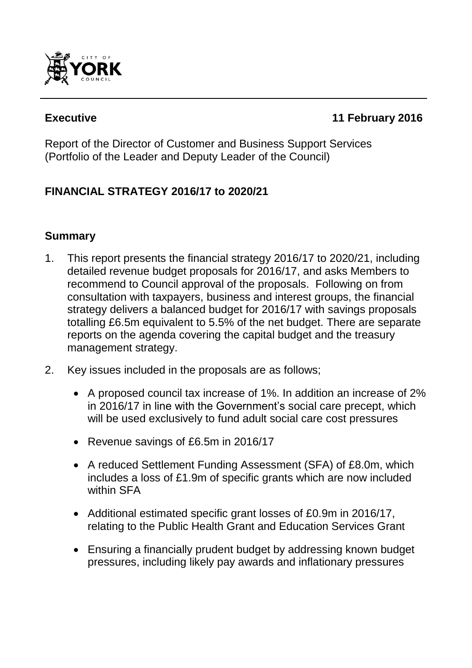

# **Executive 11 February 2016**

Report of the Director of Customer and Business Support Services (Portfolio of the Leader and Deputy Leader of the Council)

# **FINANCIAL STRATEGY 2016/17 to 2020/21**

# **Summary**

- 1. This report presents the financial strategy 2016/17 to 2020/21, including detailed revenue budget proposals for 2016/17, and asks Members to recommend to Council approval of the proposals. Following on from consultation with taxpayers, business and interest groups, the financial strategy delivers a balanced budget for 2016/17 with savings proposals totalling £6.5m equivalent to 5.5% of the net budget. There are separate reports on the agenda covering the capital budget and the treasury management strategy.
- 2. Key issues included in the proposals are as follows;
	- A proposed council tax increase of 1%. In addition an increase of 2% in 2016/17 in line with the Government's social care precept, which will be used exclusively to fund adult social care cost pressures
	- Revenue savings of £6.5m in 2016/17
	- A reduced Settlement Funding Assessment (SFA) of £8.0m, which includes a loss of £1.9m of specific grants which are now included within SFA
	- Additional estimated specific grant losses of £0.9m in 2016/17, relating to the Public Health Grant and Education Services Grant
	- Ensuring a financially prudent budget by addressing known budget pressures, including likely pay awards and inflationary pressures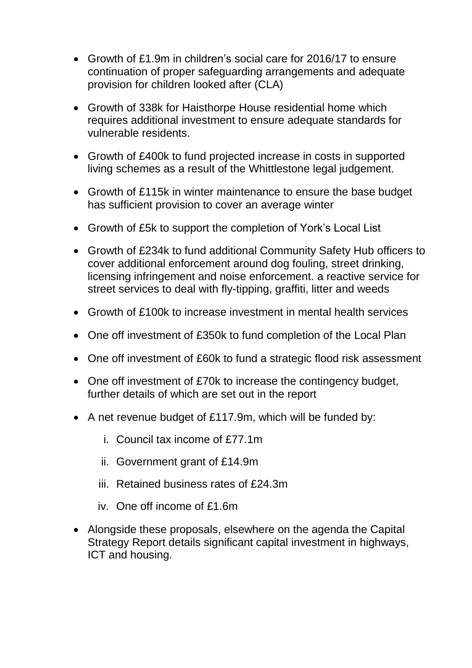- Growth of £1.9m in children"s social care for 2016/17 to ensure continuation of proper safeguarding arrangements and adequate provision for children looked after (CLA)
- Growth of 338k for Haisthorpe House residential home which requires additional investment to ensure adequate standards for vulnerable residents.
- Growth of £400k to fund projected increase in costs in supported living schemes as a result of the Whittlestone legal judgement.
- Growth of £115k in winter maintenance to ensure the base budget has sufficient provision to cover an average winter
- Growth of £5k to support the completion of York's Local List
- Growth of £234k to fund additional Community Safety Hub officers to cover additional enforcement around dog fouling, street drinking, licensing infringement and noise enforcement. a reactive service for street services to deal with fly-tipping, graffiti, litter and weeds
- Growth of £100k to increase investment in mental health services
- One off investment of £350k to fund completion of the Local Plan
- One off investment of £60k to fund a strategic flood risk assessment
- One off investment of £70k to increase the contingency budget, further details of which are set out in the report
- A net revenue budget of £117.9m, which will be funded by:
	- i. Council tax income of £77.1m
	- ii. Government grant of £14.9m
	- iii. Retained business rates of £24.3m
	- iv. One off income of £1.6m
- Alongside these proposals, elsewhere on the agenda the Capital Strategy Report details significant capital investment in highways, ICT and housing.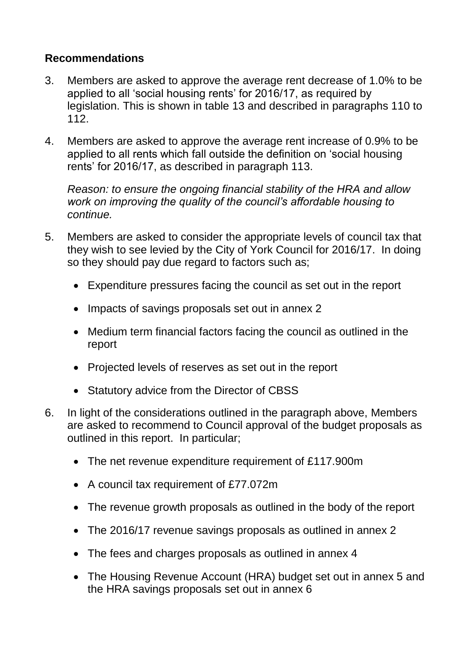## **Recommendations**

- 3. Members are asked to approve the average rent decrease of 1.0% to be applied to all 'social housing rents' for 2016/17, as required by legislation. This is shown in table 13 and described in paragraphs 110 to 112.
- 4. Members are asked to approve the average rent increase of 0.9% to be applied to all rents which fall outside the definition on "social housing rents' for 2016/17, as described in paragraph 113.

*Reason: to ensure the ongoing financial stability of the HRA and allow work on improving the quality of the council's affordable housing to continue.*

- 5. Members are asked to consider the appropriate levels of council tax that they wish to see levied by the City of York Council for 2016/17. In doing so they should pay due regard to factors such as;
	- Expenditure pressures facing the council as set out in the report
	- Impacts of savings proposals set out in annex 2
	- Medium term financial factors facing the council as outlined in the report
	- Projected levels of reserves as set out in the report
	- Statutory advice from the Director of CBSS
- 6. In light of the considerations outlined in the paragraph above, Members are asked to recommend to Council approval of the budget proposals as outlined in this report. In particular;
	- The net revenue expenditure requirement of £117.900m
	- A council tax requirement of £77.072m
	- The revenue growth proposals as outlined in the body of the report
	- The 2016/17 revenue savings proposals as outlined in annex 2
	- The fees and charges proposals as outlined in annex 4
	- The Housing Revenue Account (HRA) budget set out in annex 5 and the HRA savings proposals set out in annex 6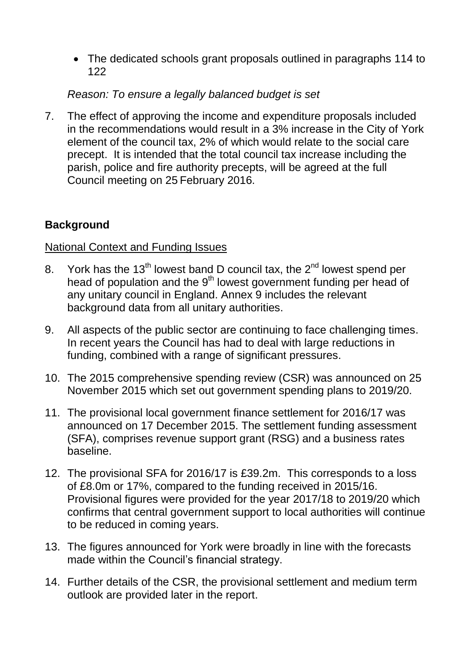The dedicated schools grant proposals outlined in paragraphs 114 to 122

## *Reason: To ensure a legally balanced budget is set*

7. The effect of approving the income and expenditure proposals included in the recommendations would result in a 3% increase in the City of York element of the council tax, 2% of which would relate to the social care precept. It is intended that the total council tax increase including the parish, police and fire authority precepts, will be agreed at the full Council meeting on 25 February 2016.

## **Background**

#### National Context and Funding Issues

- 8. York has the 13<sup>th</sup> lowest band D council tax, the 2<sup>nd</sup> lowest spend per head of population and the 9<sup>th</sup> lowest government funding per head of any unitary council in England. Annex 9 includes the relevant background data from all unitary authorities.
- 9. All aspects of the public sector are continuing to face challenging times. In recent years the Council has had to deal with large reductions in funding, combined with a range of significant pressures.
- 10. The 2015 comprehensive spending review (CSR) was announced on 25 November 2015 which set out government spending plans to 2019/20.
- 11. The provisional local government finance settlement for 2016/17 was announced on 17 December 2015. The settlement funding assessment (SFA), comprises revenue support grant (RSG) and a business rates baseline.
- 12. The provisional SFA for 2016/17 is £39.2m. This corresponds to a loss of £8.0m or 17%, compared to the funding received in 2015/16. Provisional figures were provided for the year 2017/18 to 2019/20 which confirms that central government support to local authorities will continue to be reduced in coming years.
- 13. The figures announced for York were broadly in line with the forecasts made within the Council"s financial strategy.
- 14. Further details of the CSR, the provisional settlement and medium term outlook are provided later in the report.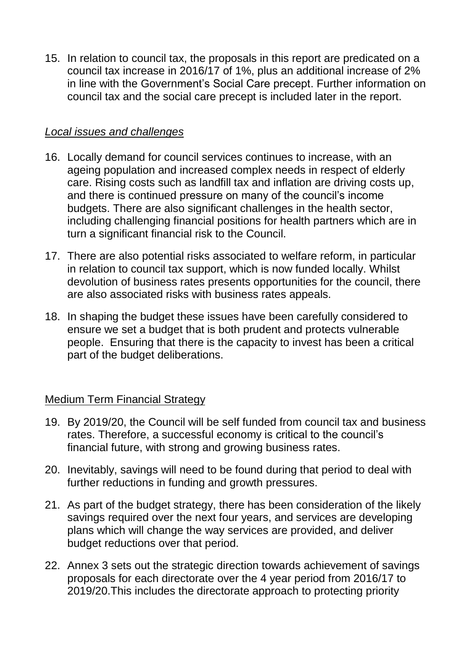15. In relation to council tax, the proposals in this report are predicated on a council tax increase in 2016/17 of 1%, plus an additional increase of 2% in line with the Government"s Social Care precept. Further information on council tax and the social care precept is included later in the report.

#### *Local issues and challenges*

- 16. Locally demand for council services continues to increase, with an ageing population and increased complex needs in respect of elderly care. Rising costs such as landfill tax and inflation are driving costs up, and there is continued pressure on many of the council"s income budgets. There are also significant challenges in the health sector, including challenging financial positions for health partners which are in turn a significant financial risk to the Council.
- 17. There are also potential risks associated to welfare reform, in particular in relation to council tax support, which is now funded locally. Whilst devolution of business rates presents opportunities for the council, there are also associated risks with business rates appeals.
- 18. In shaping the budget these issues have been carefully considered to ensure we set a budget that is both prudent and protects vulnerable people. Ensuring that there is the capacity to invest has been a critical part of the budget deliberations.

## Medium Term Financial Strategy

- 19. By 2019/20, the Council will be self funded from council tax and business rates. Therefore, a successful economy is critical to the council"s financial future, with strong and growing business rates.
- 20. Inevitably, savings will need to be found during that period to deal with further reductions in funding and growth pressures.
- 21. As part of the budget strategy, there has been consideration of the likely savings required over the next four years, and services are developing plans which will change the way services are provided, and deliver budget reductions over that period.
- 22. Annex 3 sets out the strategic direction towards achievement of savings proposals for each directorate over the 4 year period from 2016/17 to 2019/20.This includes the directorate approach to protecting priority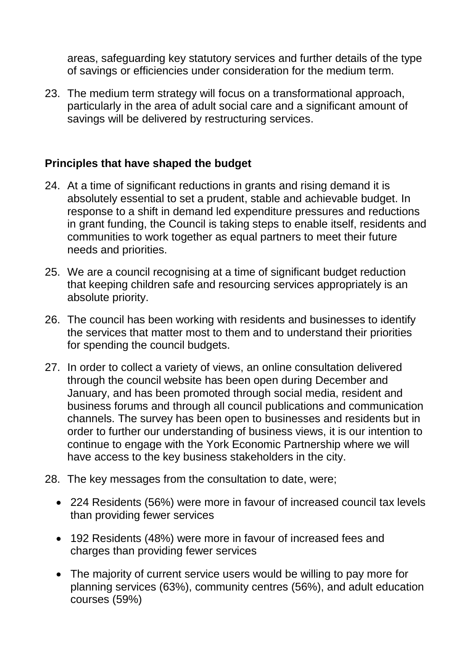areas, safeguarding key statutory services and further details of the type of savings or efficiencies under consideration for the medium term.

23. The medium term strategy will focus on a transformational approach, particularly in the area of adult social care and a significant amount of savings will be delivered by restructuring services.

## **Principles that have shaped the budget**

- 24. At a time of significant reductions in grants and rising demand it is absolutely essential to set a prudent, stable and achievable budget. In response to a shift in demand led expenditure pressures and reductions in grant funding, the Council is taking steps to enable itself, residents and communities to work together as equal partners to meet their future needs and priorities.
- 25. We are a council recognising at a time of significant budget reduction that keeping children safe and resourcing services appropriately is an absolute priority.
- 26. The council has been working with residents and businesses to identify the services that matter most to them and to understand their priorities for spending the council budgets.
- 27. In order to collect a variety of views, an online consultation delivered through the council website has been open during December and January, and has been promoted through social media, resident and business forums and through all council publications and communication channels. The survey has been open to businesses and residents but in order to further our understanding of business views, it is our intention to continue to engage with the York Economic Partnership where we will have access to the key business stakeholders in the city.
- 28. The key messages from the consultation to date, were;
	- 224 Residents (56%) were more in favour of increased council tax levels than providing fewer services
	- 192 Residents (48%) were more in favour of increased fees and charges than providing fewer services
	- The majority of current service users would be willing to pay more for planning services (63%), community centres (56%), and adult education courses (59%)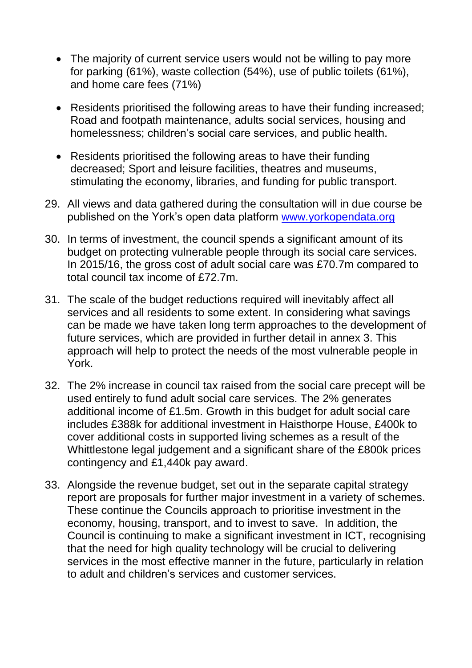- The majority of current service users would not be willing to pay more for parking (61%), waste collection (54%), use of public toilets (61%), and home care fees (71%)
- Residents prioritised the following areas to have their funding increased; Road and footpath maintenance, adults social services, housing and homelessness; children's social care services, and public health.
- Residents prioritised the following areas to have their funding decreased; Sport and leisure facilities, theatres and museums, stimulating the economy, libraries, and funding for public transport.
- 29. All views and data gathered during the consultation will in due course be published on the York"s open data platform [www.yorkopendata.org](http://www.yorkopendata.org/)
- 30. In terms of investment, the council spends a significant amount of its budget on protecting vulnerable people through its social care services. In 2015/16, the gross cost of adult social care was £70.7m compared to total council tax income of £72.7m.
- 31. The scale of the budget reductions required will inevitably affect all services and all residents to some extent. In considering what savings can be made we have taken long term approaches to the development of future services, which are provided in further detail in annex 3. This approach will help to protect the needs of the most vulnerable people in York.
- 32. The 2% increase in council tax raised from the social care precept will be used entirely to fund adult social care services. The 2% generates additional income of £1.5m. Growth in this budget for adult social care includes £388k for additional investment in Haisthorpe House, £400k to cover additional costs in supported living schemes as a result of the Whittlestone legal judgement and a significant share of the £800k prices contingency and £1,440k pay award.
- 33. Alongside the revenue budget, set out in the separate capital strategy report are proposals for further major investment in a variety of schemes. These continue the Councils approach to prioritise investment in the economy, housing, transport, and to invest to save. In addition, the Council is continuing to make a significant investment in ICT, recognising that the need for high quality technology will be crucial to delivering services in the most effective manner in the future, particularly in relation to adult and children"s services and customer services.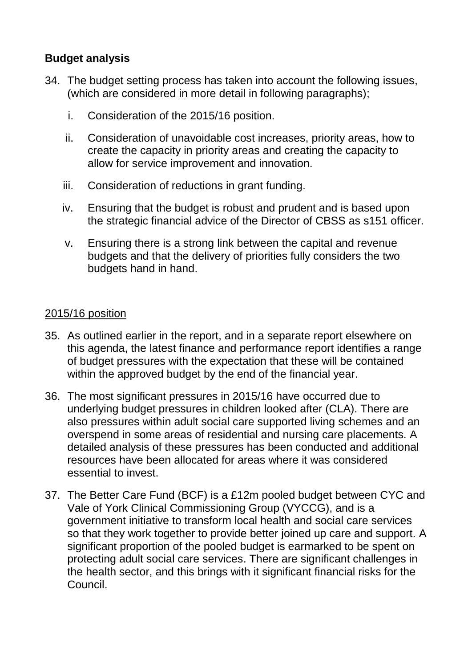## **Budget analysis**

- 34. The budget setting process has taken into account the following issues, (which are considered in more detail in following paragraphs);
	- i. Consideration of the 2015/16 position.
	- ii. Consideration of unavoidable cost increases, priority areas, how to create the capacity in priority areas and creating the capacity to allow for service improvement and innovation.
	- iii. Consideration of reductions in grant funding.
	- iv. Ensuring that the budget is robust and prudent and is based upon the strategic financial advice of the Director of CBSS as s151 officer.
	- v. Ensuring there is a strong link between the capital and revenue budgets and that the delivery of priorities fully considers the two budgets hand in hand.

## 2015/16 position

- 35. As outlined earlier in the report, and in a separate report elsewhere on this agenda, the latest finance and performance report identifies a range of budget pressures with the expectation that these will be contained within the approved budget by the end of the financial year.
- 36. The most significant pressures in 2015/16 have occurred due to underlying budget pressures in children looked after (CLA). There are also pressures within adult social care supported living schemes and an overspend in some areas of residential and nursing care placements. A detailed analysis of these pressures has been conducted and additional resources have been allocated for areas where it was considered essential to invest.
- 37. The Better Care Fund (BCF) is a £12m pooled budget between CYC and Vale of York Clinical Commissioning Group (VYCCG), and is a government initiative to transform local health and social care services so that they work together to provide better joined up care and support. A significant proportion of the pooled budget is earmarked to be spent on protecting adult social care services. There are significant challenges in the health sector, and this brings with it significant financial risks for the Council.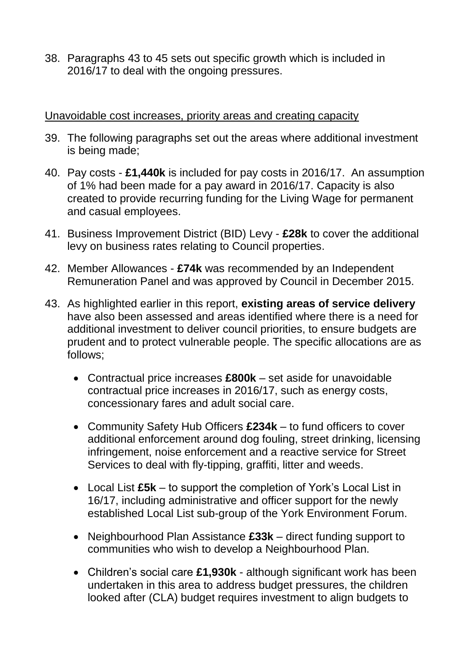38. Paragraphs 43 to 45 sets out specific growth which is included in 2016/17 to deal with the ongoing pressures.

#### Unavoidable cost increases, priority areas and creating capacity

- 39. The following paragraphs set out the areas where additional investment is being made;
- 40. Pay costs **£1,440k** is included for pay costs in 2016/17. An assumption of 1% had been made for a pay award in 2016/17. Capacity is also created to provide recurring funding for the Living Wage for permanent and casual employees.
- 41. Business Improvement District (BID) Levy **£28k** to cover the additional levy on business rates relating to Council properties.
- 42. Member Allowances **£74k** was recommended by an Independent Remuneration Panel and was approved by Council in December 2015.
- 43. As highlighted earlier in this report, **existing areas of service delivery** have also been assessed and areas identified where there is a need for additional investment to deliver council priorities, to ensure budgets are prudent and to protect vulnerable people. The specific allocations are as follows;
	- Contractual price increases **£800k** set aside for unavoidable contractual price increases in 2016/17, such as energy costs, concessionary fares and adult social care.
	- Community Safety Hub Officers **£234k** to fund officers to cover additional enforcement around dog fouling, street drinking, licensing infringement, noise enforcement and a reactive service for Street Services to deal with fly-tipping, graffiti, litter and weeds.
	- Local List **£5k** to support the completion of York"s Local List in 16/17, including administrative and officer support for the newly established Local List sub-group of the York Environment Forum.
	- Neighbourhood Plan Assistance **£33k** direct funding support to communities who wish to develop a Neighbourhood Plan.
	- Children"s social care **£1,930k** although significant work has been undertaken in this area to address budget pressures, the children looked after (CLA) budget requires investment to align budgets to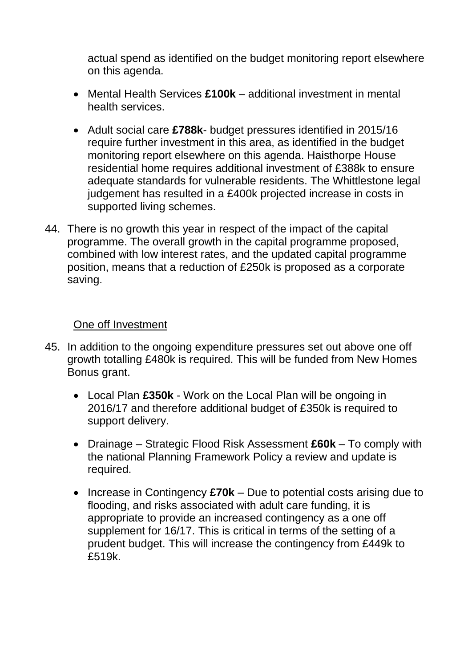actual spend as identified on the budget monitoring report elsewhere on this agenda.

- Mental Health Services **£100k** additional investment in mental health services.
- Adult social care **£788k** budget pressures identified in 2015/16 require further investment in this area, as identified in the budget monitoring report elsewhere on this agenda. Haisthorpe House residential home requires additional investment of £388k to ensure adequate standards for vulnerable residents. The Whittlestone legal judgement has resulted in a £400k projected increase in costs in supported living schemes.
- 44. There is no growth this year in respect of the impact of the capital programme. The overall growth in the capital programme proposed, combined with low interest rates, and the updated capital programme position, means that a reduction of £250k is proposed as a corporate saving.

#### One off Investment

- 45. In addition to the ongoing expenditure pressures set out above one off growth totalling £480k is required. This will be funded from New Homes Bonus grant.
	- Local Plan **£350k** Work on the Local Plan will be ongoing in 2016/17 and therefore additional budget of £350k is required to support delivery.
	- Drainage Strategic Flood Risk Assessment **£60k**  To comply with the national Planning Framework Policy a review and update is required.
	- Increase in Contingency **£70k** Due to potential costs arising due to flooding, and risks associated with adult care funding, it is appropriate to provide an increased contingency as a one off supplement for 16/17. This is critical in terms of the setting of a prudent budget. This will increase the contingency from £449k to £519k.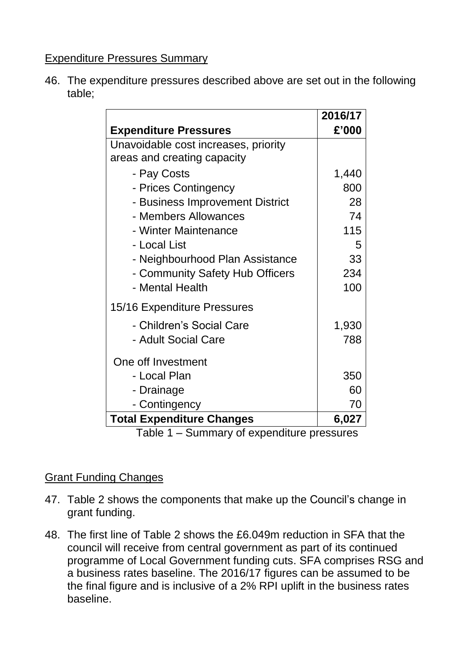## Expenditure Pressures Summary

46. The expenditure pressures described above are set out in the following table;

|                                      | 2016/17 |
|--------------------------------------|---------|
| <b>Expenditure Pressures</b>         | £'000   |
| Unavoidable cost increases, priority |         |
| areas and creating capacity          |         |
| - Pay Costs                          | 1,440   |
| - Prices Contingency                 | 800     |
| - Business Improvement District      | 28      |
| - Members Allowances                 | 74      |
| - Winter Maintenance                 | 115     |
| - Local List                         | 5       |
| - Neighbourhood Plan Assistance      | 33      |
| - Community Safety Hub Officers      | 234     |
| - Mental Health                      | 100     |
| 15/16 Expenditure Pressures          |         |
| - Children's Social Care             | 1,930   |
| - Adult Social Care                  | 788     |
| One off Investment                   |         |
| - Local Plan                         | 350     |
| - Drainage                           | 60      |
| - Contingency                        | 70      |
| <b>Total Expenditure Changes</b>     | 6,027   |

Table 1 – Summary of expenditure pressures

## Grant Funding Changes

- 47. Table 2 shows the components that make up the Council"s change in grant funding.
- 48. The first line of Table 2 shows the £6.049m reduction in SFA that the council will receive from central government as part of its continued programme of Local Government funding cuts. SFA comprises RSG and a business rates baseline. The 2016/17 figures can be assumed to be the final figure and is inclusive of a 2% RPI uplift in the business rates baseline.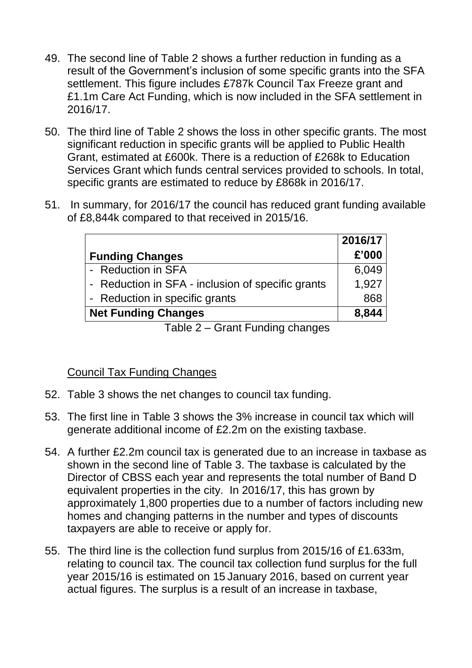- 49. The second line of Table 2 shows a further reduction in funding as a result of the Government"s inclusion of some specific grants into the SFA settlement. This figure includes £787k Council Tax Freeze grant and £1.1m Care Act Funding, which is now included in the SFA settlement in 2016/17.
- 50. The third line of Table 2 shows the loss in other specific grants. The most significant reduction in specific grants will be applied to Public Health Grant, estimated at £600k. There is a reduction of £268k to Education Services Grant which funds central services provided to schools. In total, specific grants are estimated to reduce by £868k in 2016/17.
- 51. In summary, for 2016/17 the council has reduced grant funding available of £8,844k compared to that received in 2015/16.

|                                                   | 2016/17 |
|---------------------------------------------------|---------|
| <b>Funding Changes</b>                            | £'000   |
| - Reduction in SFA                                | 6,049   |
| - Reduction in SFA - inclusion of specific grants | 1,927   |
| - Reduction in specific grants                    | 868     |
| <b>Net Funding Changes</b>                        | 8,844   |
|                                                   |         |

Table 2 – Grant Funding changes

## Council Tax Funding Changes

- 52. Table 3 shows the net changes to council tax funding.
- 53. The first line in Table 3 shows the 3% increase in council tax which will generate additional income of £2.2m on the existing taxbase.
- 54. A further £2.2m council tax is generated due to an increase in taxbase as shown in the second line of Table 3. The taxbase is calculated by the Director of CBSS each year and represents the total number of Band D equivalent properties in the city. In 2016/17, this has grown by approximately 1,800 properties due to a number of factors including new homes and changing patterns in the number and types of discounts taxpayers are able to receive or apply for.
- 55. The third line is the collection fund surplus from 2015/16 of £1.633m, relating to council tax. The council tax collection fund surplus for the full year 2015/16 is estimated on 15 January 2016, based on current year actual figures. The surplus is a result of an increase in taxbase,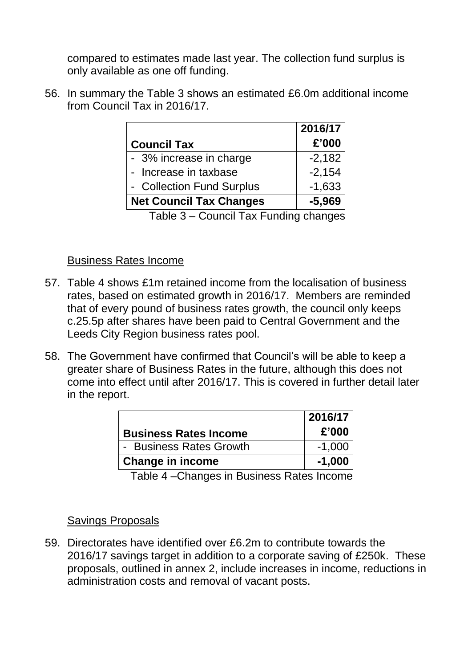compared to estimates made last year. The collection fund surplus is only available as one off funding.

56. In summary the Table 3 shows an estimated £6.0m additional income from Council Tax in 2016/17.

|                                | 2016/17  |
|--------------------------------|----------|
| <b>Council Tax</b>             | £'000    |
| - 3% increase in charge        | $-2,182$ |
| - Increase in taxbase          | $-2,154$ |
| - Collection Fund Surplus      | $-1,633$ |
| <b>Net Council Tax Changes</b> | $-5.969$ |

Table 3 – Council Tax Funding changes

#### Business Rates Income

- 57. Table 4 shows £1m retained income from the localisation of business rates, based on estimated growth in 2016/17. Members are reminded that of every pound of business rates growth, the council only keeps c.25.5p after shares have been paid to Central Government and the Leeds City Region business rates pool.
- 58. The Government have confirmed that Council"s will be able to keep a greater share of Business Rates in the future, although this does not come into effect until after 2016/17. This is covered in further detail later in the report.

|                              | 2016/17  |
|------------------------------|----------|
| <b>Business Rates Income</b> | £'000    |
| - Business Rates Growth      | $-1,000$ |
| <b>Change in income</b>      | $-1,000$ |

Table 4 –Changes in Business Rates Income

#### Savings Proposals

59. Directorates have identified over £6.2m to contribute towards the 2016/17 savings target in addition to a corporate saving of £250k. These proposals, outlined in annex 2, include increases in income, reductions in administration costs and removal of vacant posts.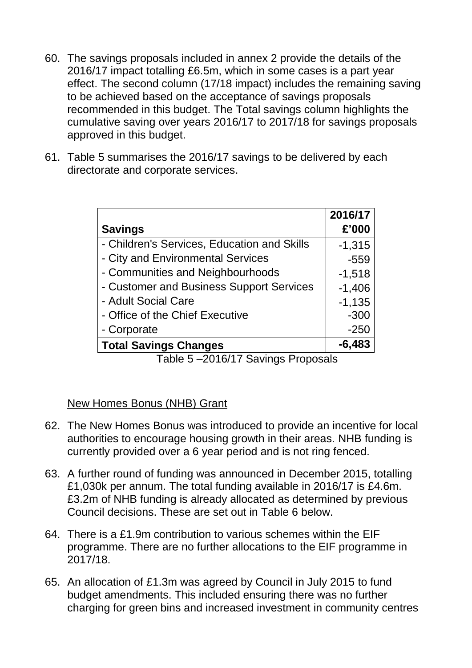- 60. The savings proposals included in annex 2 provide the details of the 2016/17 impact totalling £6.5m, which in some cases is a part year effect. The second column (17/18 impact) includes the remaining saving to be achieved based on the acceptance of savings proposals recommended in this budget. The Total savings column highlights the cumulative saving over years 2016/17 to 2017/18 for savings proposals approved in this budget.
- 61. Table 5 summarises the 2016/17 savings to be delivered by each directorate and corporate services.

|                                             | 2016/17  |
|---------------------------------------------|----------|
| <b>Savings</b>                              | £'000    |
| - Children's Services, Education and Skills | $-1,315$ |
| - City and Environmental Services           | $-559$   |
| - Communities and Neighbourhoods            | $-1,518$ |
| - Customer and Business Support Services    | $-1,406$ |
| - Adult Social Care                         | $-1,135$ |
| - Office of the Chief Executive             | $-300$   |
| - Corporate                                 | $-250$   |
| <b>Total Savings Changes</b>                | $-6,483$ |

Table 5 –2016/17 Savings Proposals

New Homes Bonus (NHB) Grant

- 62. The New Homes Bonus was introduced to provide an incentive for local authorities to encourage housing growth in their areas. NHB funding is currently provided over a 6 year period and is not ring fenced.
- 63. A further round of funding was announced in December 2015, totalling £1,030k per annum. The total funding available in 2016/17 is £4.6m. £3.2m of NHB funding is already allocated as determined by previous Council decisions. These are set out in Table 6 below.
- 64. There is a £1.9m contribution to various schemes within the EIF programme. There are no further allocations to the EIF programme in 2017/18.
- 65. An allocation of £1.3m was agreed by Council in July 2015 to fund budget amendments. This included ensuring there was no further charging for green bins and increased investment in community centres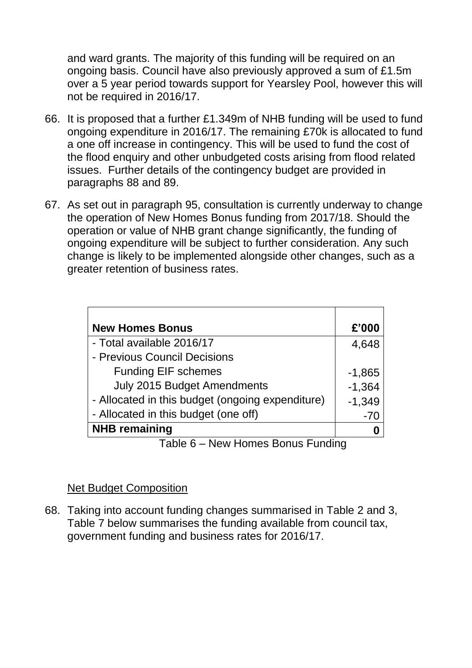and ward grants. The majority of this funding will be required on an ongoing basis. Council have also previously approved a sum of £1.5m over a 5 year period towards support for Yearsley Pool, however this will not be required in 2016/17.

- 66. It is proposed that a further £1.349m of NHB funding will be used to fund ongoing expenditure in 2016/17. The remaining £70k is allocated to fund a one off increase in contingency. This will be used to fund the cost of the flood enquiry and other unbudgeted costs arising from flood related issues. Further details of the contingency budget are provided in paragraphs 88 and 89.
- 67. As set out in paragraph 95, consultation is currently underway to change the operation of New Homes Bonus funding from 2017/18. Should the operation or value of NHB grant change significantly, the funding of ongoing expenditure will be subject to further consideration. Any such change is likely to be implemented alongside other changes, such as a greater retention of business rates.

| <b>New Homes Bonus</b>                           | £'000    |
|--------------------------------------------------|----------|
| - Total available 2016/17                        | 4,648    |
| - Previous Council Decisions                     |          |
| <b>Funding EIF schemes</b>                       | $-1,865$ |
| <b>July 2015 Budget Amendments</b>               | $-1,364$ |
| - Allocated in this budget (ongoing expenditure) | $-1,349$ |
| - Allocated in this budget (one off)             | $-70$    |
| <b>NHB</b> remaining                             |          |
| Now Homes Popus Eunding<br>エっトー ピ                |          |

Table 6 – New Homes Bonus Funding

#### Net Budget Composition

68. Taking into account funding changes summarised in Table 2 and 3, Table 7 below summarises the funding available from council tax, government funding and business rates for 2016/17.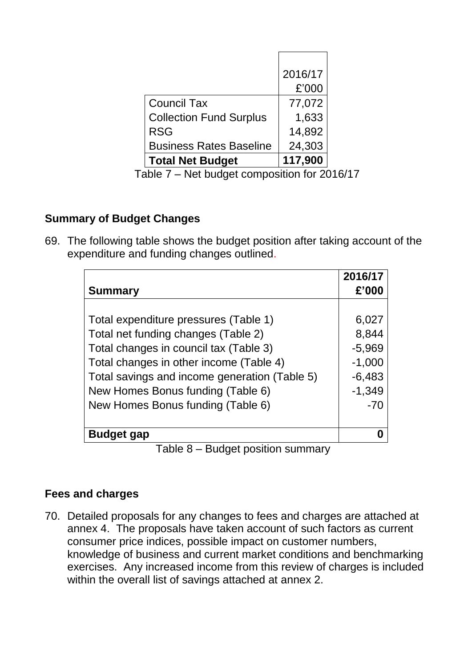|                                | 2016/17 |
|--------------------------------|---------|
|                                | £'000   |
| <b>Council Tax</b>             | 77,072  |
| <b>Collection Fund Surplus</b> | 1,633   |
| <b>RSG</b>                     | 14,892  |
| <b>Business Rates Baseline</b> | 24,303  |
| <b>Total Net Budget</b>        | 117,900 |

Table 7 – Net budget composition for 2016/17

## **Summary of Budget Changes**

69. The following table shows the budget position after taking account of the expenditure and funding changes outlined.

|                                               | 2016/17  |
|-----------------------------------------------|----------|
| <b>Summary</b>                                | £'000    |
|                                               |          |
| Total expenditure pressures (Table 1)         | 6,027    |
| Total net funding changes (Table 2)           | 8,844    |
| Total changes in council tax (Table 3)        | $-5,969$ |
| Total changes in other income (Table 4)       | $-1,000$ |
| Total savings and income generation (Table 5) | $-6,483$ |
| New Homes Bonus funding (Table 6)             | $-1,349$ |
| New Homes Bonus funding (Table 6)             | $-70$    |
|                                               |          |
| <b>Budget gap</b>                             |          |
| Rudget position summary<br>Tahla R            |          |

Table 8 – Budget position summary

## **Fees and charges**

70. Detailed proposals for any changes to fees and charges are attached at annex 4. The proposals have taken account of such factors as current consumer price indices, possible impact on customer numbers, knowledge of business and current market conditions and benchmarking exercises. Any increased income from this review of charges is included within the overall list of savings attached at annex 2.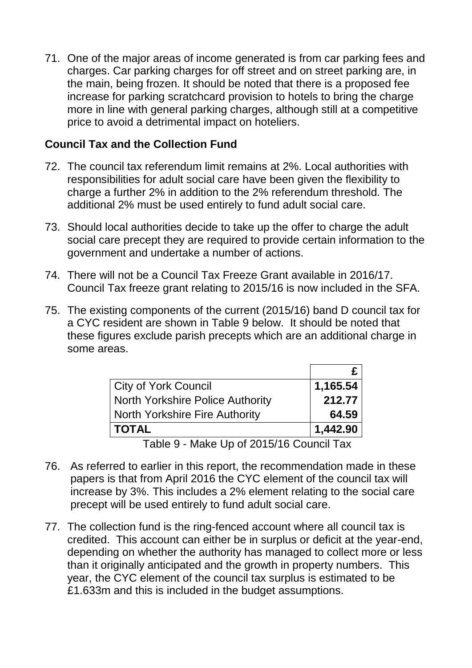71. One of the major areas of income generated is from car parking fees and charges. Car parking charges for off street and on street parking are, in the main, being frozen. It should be noted that there is a proposed fee increase for parking scratchcard provision to hotels to bring the charge more in line with general parking charges, although still at a competitive price to avoid a detrimental impact on hoteliers.

#### **Council Tax and the Collection Fund**

- 72. The council tax referendum limit remains at 2%. Local authorities with responsibilities for adult social care have been given the flexibility to charge a further 2% in addition to the 2% referendum threshold. The additional 2% must be used entirely to fund adult social care.
- 73. Should local authorities decide to take up the offer to charge the adult social care precept they are required to provide certain information to the government and undertake a number of actions.
- 74. There will not be a Council Tax Freeze Grant available in 2016/17. Council Tax freeze grant relating to 2015/16 is now included in the SFA.
- 75. The existing components of the current (2015/16) band D council tax for a CYC resident are shown in Table 9 below. It should be noted that these figures exclude parish precepts which are an additional charge in some areas.

| City of York Council                    | 1,165.54 |
|-----------------------------------------|----------|
| <b>North Yorkshire Police Authority</b> | 212.77   |
| <b>North Yorkshire Fire Authority</b>   | 64.59    |
| <b>TOTAL</b>                            | 1,442.90 |
| $T>0$ , Make Un of 2015/16 Council Toy  |          |

Table 9 - Make Up of 2015/16 Council Tax

- 76. As referred to earlier in this report, the recommendation made in these papers is that from April 2016 the CYC element of the council tax will increase by 3%. This includes a 2% element relating to the social care precept will be used entirely to fund adult social care.
- 77. The collection fund is the ring-fenced account where all council tax is credited. This account can either be in surplus or deficit at the year-end, depending on whether the authority has managed to collect more or less than it originally anticipated and the growth in property numbers. This year, the CYC element of the council tax surplus is estimated to be £1.633m and this is included in the budget assumptions.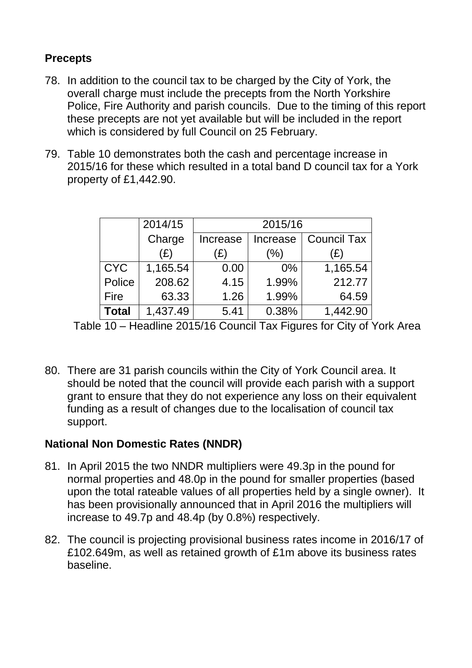## **Precepts**

- 78. In addition to the council tax to be charged by the City of York, the overall charge must include the precepts from the North Yorkshire Police, Fire Authority and parish councils. Due to the timing of this report these precepts are not yet available but will be included in the report which is considered by full Council on 25 February.
- 79. Table 10 demonstrates both the cash and percentage increase in 2015/16 for these which resulted in a total band D council tax for a York property of £1,442.90.

|              | 2014/15  | 2015/16  |                                |          |  |  |
|--------------|----------|----------|--------------------------------|----------|--|--|
|              | Charge   | Increase | <b>Council Tax</b><br>Increase |          |  |  |
|              | (£)      | (£)      | (% )                           | (£)      |  |  |
| <b>CYC</b>   | 1,165.54 | 0.00     | $0\%$                          | 1,165.54 |  |  |
| Police       | 208.62   | 4.15     | 1.99%                          | 212.77   |  |  |
| <b>Fire</b>  | 63.33    | 1.26     | 1.99%                          | 64.59    |  |  |
| <b>Total</b> | 1,437.49 | 5.41     | 0.38%                          | 1,442.90 |  |  |

Table 10 – Headline 2015/16 Council Tax Figures for City of York Area

80. There are 31 parish councils within the City of York Council area. It should be noted that the council will provide each parish with a support grant to ensure that they do not experience any loss on their equivalent funding as a result of changes due to the localisation of council tax support.

## **National Non Domestic Rates (NNDR)**

- 81. In April 2015 the two NNDR multipliers were 49.3p in the pound for normal properties and 48.0p in the pound for smaller properties (based upon the total rateable values of all properties held by a single owner). It has been provisionally announced that in April 2016 the multipliers will increase to 49.7p and 48.4p (by 0.8%) respectively.
- 82. The council is projecting provisional business rates income in 2016/17 of £102.649m, as well as retained growth of £1m above its business rates baseline.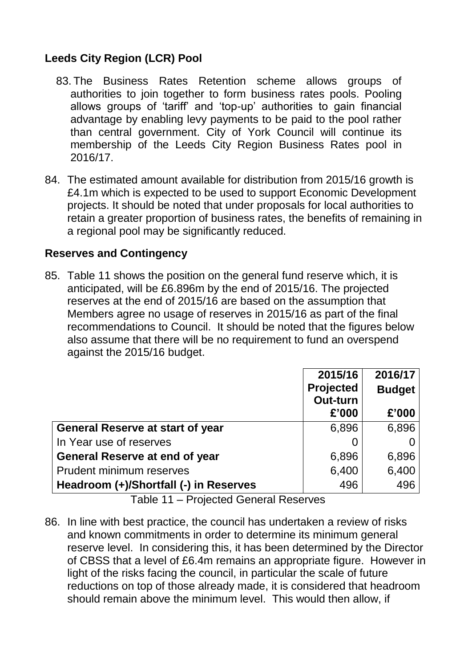# **Leeds City Region (LCR) Pool**

- 83. The Business Rates Retention scheme allows groups of authorities to join together to form business rates pools. Pooling allows groups of "tariff" and "top-up" authorities to gain financial advantage by enabling levy payments to be paid to the pool rather than central government. City of York Council will continue its membership of the Leeds City Region Business Rates pool in 2016/17.
- 84. The estimated amount available for distribution from 2015/16 growth is £4.1m which is expected to be used to support Economic Development projects. It should be noted that under proposals for local authorities to retain a greater proportion of business rates, the benefits of remaining in a regional pool may be significantly reduced.

#### **Reserves and Contingency**

85. Table 11 shows the position on the general fund reserve which, it is anticipated, will be £6.896m by the end of 2015/16. The projected reserves at the end of 2015/16 are based on the assumption that Members agree no usage of reserves in 2015/16 as part of the final recommendations to Council. It should be noted that the figures below also assume that there will be no requirement to fund an overspend against the 2015/16 budget.

|                                         | 2015/16<br><b>Projected</b><br>Out-turn<br>£'000 | 2016/17<br><b>Budget</b><br>£'000 |
|-----------------------------------------|--------------------------------------------------|-----------------------------------|
| <b>General Reserve at start of year</b> | 6,896                                            | 6,896                             |
| In Year use of reserves                 |                                                  |                                   |
| <b>General Reserve at end of year</b>   | 6,896                                            | 6,896                             |
| <b>Prudent minimum reserves</b>         | 6,400                                            | 6,400                             |
| Headroom (+)/Shortfall (-) in Reserves  | 496                                              | 496                               |

Table 11 – Projected General Reserves

86. In line with best practice, the council has undertaken a review of risks and known commitments in order to determine its minimum general reserve level. In considering this, it has been determined by the Director of CBSS that a level of £6.4m remains an appropriate figure. However in light of the risks facing the council, in particular the scale of future reductions on top of those already made, it is considered that headroom should remain above the minimum level. This would then allow, if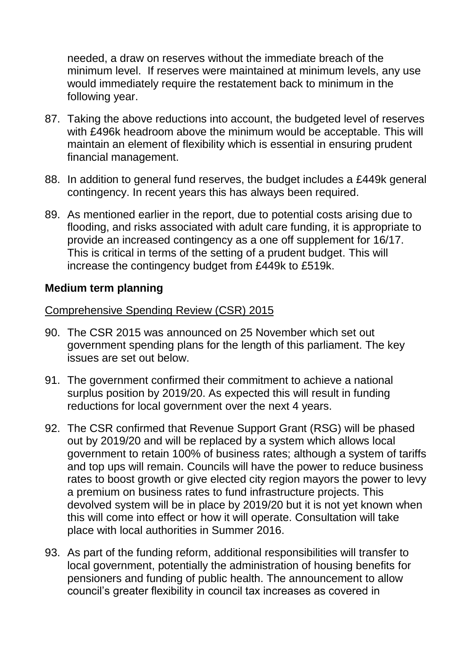needed, a draw on reserves without the immediate breach of the minimum level. If reserves were maintained at minimum levels, any use would immediately require the restatement back to minimum in the following year.

- 87. Taking the above reductions into account, the budgeted level of reserves with £496k headroom above the minimum would be acceptable. This will maintain an element of flexibility which is essential in ensuring prudent financial management.
- 88. In addition to general fund reserves, the budget includes a £449k general contingency. In recent years this has always been required.
- 89. As mentioned earlier in the report, due to potential costs arising due to flooding, and risks associated with adult care funding, it is appropriate to provide an increased contingency as a one off supplement for 16/17. This is critical in terms of the setting of a prudent budget. This will increase the contingency budget from £449k to £519k.

#### **Medium term planning**

#### Comprehensive Spending Review (CSR) 2015

- 90. The CSR 2015 was announced on 25 November which set out government spending plans for the length of this parliament. The key issues are set out below.
- 91. The government confirmed their commitment to achieve a national surplus position by 2019/20. As expected this will result in funding reductions for local government over the next 4 years.
- 92. The CSR confirmed that Revenue Support Grant (RSG) will be phased out by 2019/20 and will be replaced by a system which allows local government to retain 100% of business rates; although a system of tariffs and top ups will remain. Councils will have the power to reduce business rates to boost growth or give elected city region mayors the power to levy a premium on business rates to fund infrastructure projects. This devolved system will be in place by 2019/20 but it is not yet known when this will come into effect or how it will operate. Consultation will take place with local authorities in Summer 2016.
- 93. As part of the funding reform, additional responsibilities will transfer to local government, potentially the administration of housing benefits for pensioners and funding of public health. The announcement to allow council"s greater flexibility in council tax increases as covered in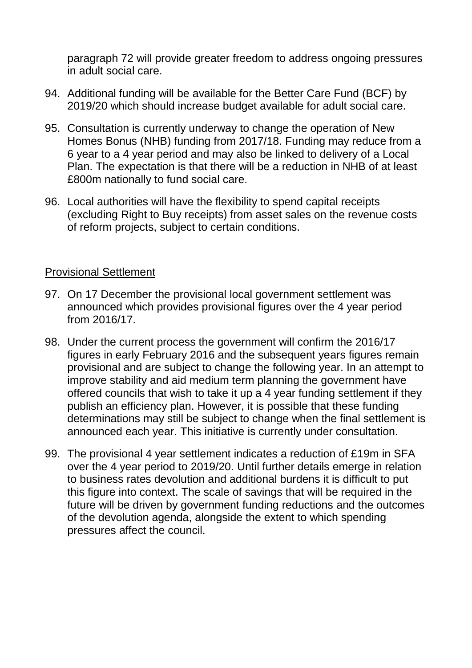paragraph 72 will provide greater freedom to address ongoing pressures in adult social care.

- 94. Additional funding will be available for the Better Care Fund (BCF) by 2019/20 which should increase budget available for adult social care.
- 95. Consultation is currently underway to change the operation of New Homes Bonus (NHB) funding from 2017/18. Funding may reduce from a 6 year to a 4 year period and may also be linked to delivery of a Local Plan. The expectation is that there will be a reduction in NHB of at least £800m nationally to fund social care.
- 96. Local authorities will have the flexibility to spend capital receipts (excluding Right to Buy receipts) from asset sales on the revenue costs of reform projects, subject to certain conditions.

#### Provisional Settlement

- 97. On 17 December the provisional local government settlement was announced which provides provisional figures over the 4 year period from 2016/17.
- 98. Under the current process the government will confirm the 2016/17 figures in early February 2016 and the subsequent years figures remain provisional and are subject to change the following year. In an attempt to improve stability and aid medium term planning the government have offered councils that wish to take it up a 4 year funding settlement if they publish an efficiency plan. However, it is possible that these funding determinations may still be subject to change when the final settlement is announced each year. This initiative is currently under consultation.
- 99. The provisional 4 year settlement indicates a reduction of £19m in SFA over the 4 year period to 2019/20. Until further details emerge in relation to business rates devolution and additional burdens it is difficult to put this figure into context. The scale of savings that will be required in the future will be driven by government funding reductions and the outcomes of the devolution agenda, alongside the extent to which spending pressures affect the council.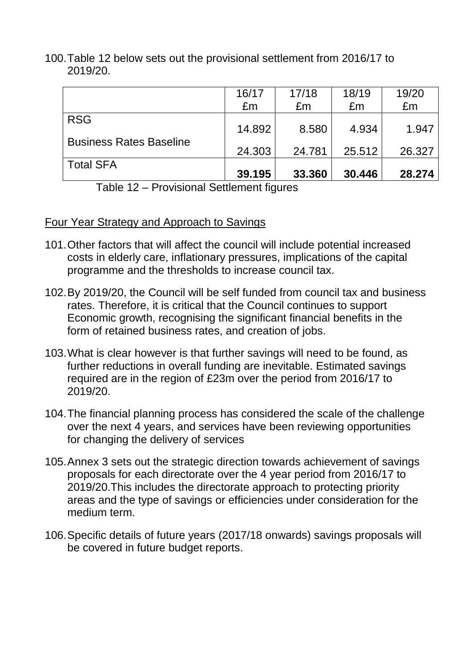100.Table 12 below sets out the provisional settlement from 2016/17 to 2019/20.

|                                | 16/17  | 17/18  | 18/19  | 19/20  |
|--------------------------------|--------|--------|--------|--------|
|                                | £m     | £m     | £m     | £m     |
| <b>RSG</b>                     | 14.892 | 8.580  | 4.934  | 1.947  |
| <b>Business Rates Baseline</b> | 24.303 | 24.781 | 25.512 | 26.327 |
| <b>Total SFA</b>               | 39.195 | 33.360 | 30.446 | 28.274 |

Table 12 – Provisional Settlement figures

## Four Year Strategy and Approach to Savings

- 101.Other factors that will affect the council will include potential increased costs in elderly care, inflationary pressures, implications of the capital programme and the thresholds to increase council tax.
- 102.By 2019/20, the Council will be self funded from council tax and business rates. Therefore, it is critical that the Council continues to support Economic growth, recognising the significant financial benefits in the form of retained business rates, and creation of jobs.
- 103.What is clear however is that further savings will need to be found, as further reductions in overall funding are inevitable. Estimated savings required are in the region of £23m over the period from 2016/17 to 2019/20.
- 104.The financial planning process has considered the scale of the challenge over the next 4 years, and services have been reviewing opportunities for changing the delivery of services
- 105.Annex 3 sets out the strategic direction towards achievement of savings proposals for each directorate over the 4 year period from 2016/17 to 2019/20.This includes the directorate approach to protecting priority areas and the type of savings or efficiencies under consideration for the medium term.
- 106.Specific details of future years (2017/18 onwards) savings proposals will be covered in future budget reports.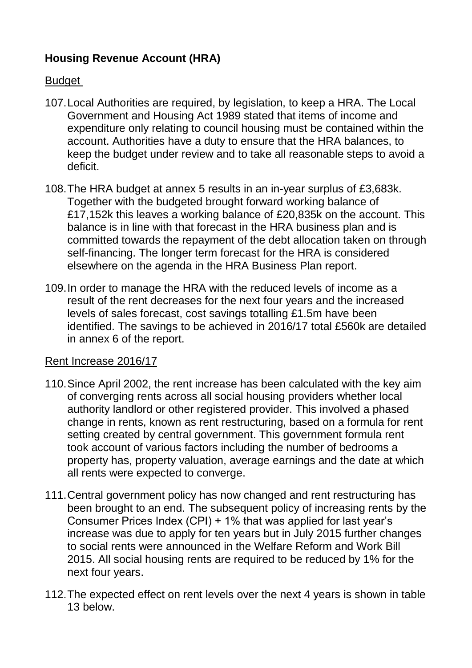# **Housing Revenue Account (HRA)**

#### Budget

- 107.Local Authorities are required, by legislation, to keep a HRA. The Local Government and Housing Act 1989 stated that items of income and expenditure only relating to council housing must be contained within the account. Authorities have a duty to ensure that the HRA balances, to keep the budget under review and to take all reasonable steps to avoid a deficit.
- 108.The HRA budget at annex 5 results in an in-year surplus of £3,683k. Together with the budgeted brought forward working balance of £17,152k this leaves a working balance of £20,835k on the account. This balance is in line with that forecast in the HRA business plan and is committed towards the repayment of the debt allocation taken on through self-financing. The longer term forecast for the HRA is considered elsewhere on the agenda in the HRA Business Plan report.
- 109.In order to manage the HRA with the reduced levels of income as a result of the rent decreases for the next four years and the increased levels of sales forecast, cost savings totalling £1.5m have been identified. The savings to be achieved in 2016/17 total £560k are detailed in annex 6 of the report.

#### Rent Increase 2016/17

- 110.Since April 2002, the rent increase has been calculated with the key aim of converging rents across all social housing providers whether local authority landlord or other registered provider. This involved a phased change in rents, known as rent restructuring, based on a formula for rent setting created by central government. This government formula rent took account of various factors including the number of bedrooms a property has, property valuation, average earnings and the date at which all rents were expected to converge.
- 111.Central government policy has now changed and rent restructuring has been brought to an end. The subsequent policy of increasing rents by the Consumer Prices Index (CPI) + 1% that was applied for last year"s increase was due to apply for ten years but in July 2015 further changes to social rents were announced in the Welfare Reform and Work Bill 2015. All social housing rents are required to be reduced by 1% for the next four years.
- 112.The expected effect on rent levels over the next 4 years is shown in table 13 below.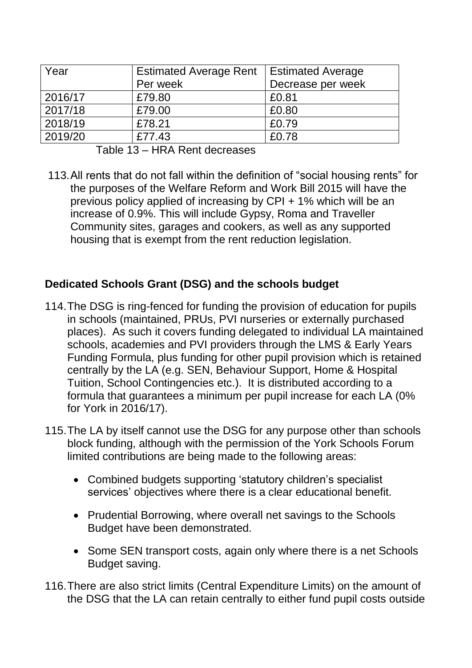| Year    | <b>Estimated Average Rent</b><br>Per week | <b>Estimated Average</b><br>Decrease per week |  |
|---------|-------------------------------------------|-----------------------------------------------|--|
| 2016/17 | £79.80                                    |                                               |  |
|         |                                           | £0.81                                         |  |
| 2017/18 | £79.00                                    | £0.80                                         |  |
| 2018/19 | £78.21                                    | £0.79                                         |  |
| 2019/20 | £77.43                                    | £0.78                                         |  |

Table 13 – HRA Rent decreases

113.All rents that do not fall within the definition of "social housing rents" for the purposes of the Welfare Reform and Work Bill 2015 will have the previous policy applied of increasing by CPI + 1% which will be an increase of 0.9%. This will include Gypsy, Roma and Traveller Community sites, garages and cookers, as well as any supported housing that is exempt from the rent reduction legislation.

## **Dedicated Schools Grant (DSG) and the schools budget**

- 114.The DSG is ring-fenced for funding the provision of education for pupils in schools (maintained, PRUs, PVI nurseries or externally purchased places). As such it covers funding delegated to individual LA maintained schools, academies and PVI providers through the LMS & Early Years Funding Formula, plus funding for other pupil provision which is retained centrally by the LA (e.g. SEN, Behaviour Support, Home & Hospital Tuition, School Contingencies etc.). It is distributed according to a formula that guarantees a minimum per pupil increase for each LA (0% for York in 2016/17).
- 115.The LA by itself cannot use the DSG for any purpose other than schools block funding, although with the permission of the York Schools Forum limited contributions are being made to the following areas:
	- Combined budgets supporting 'statutory children's specialist services' objectives where there is a clear educational benefit.
	- Prudential Borrowing, where overall net savings to the Schools Budget have been demonstrated.
	- Some SEN transport costs, again only where there is a net Schools Budget saving.
- 116.There are also strict limits (Central Expenditure Limits) on the amount of the DSG that the LA can retain centrally to either fund pupil costs outside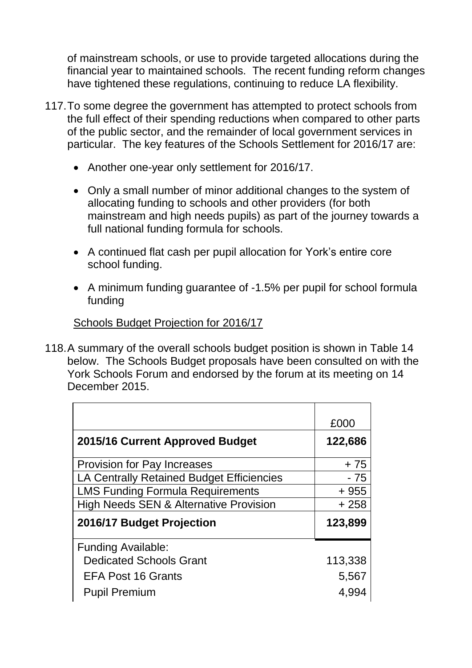of mainstream schools, or use to provide targeted allocations during the financial year to maintained schools. The recent funding reform changes have tightened these regulations, continuing to reduce LA flexibility.

- 117.To some degree the government has attempted to protect schools from the full effect of their spending reductions when compared to other parts of the public sector, and the remainder of local government services in particular. The key features of the Schools Settlement for 2016/17 are:
	- Another one-year only settlement for 2016/17.
	- Only a small number of minor additional changes to the system of allocating funding to schools and other providers (for both mainstream and high needs pupils) as part of the journey towards a full national funding formula for schools.
	- A continued flat cash per pupil allocation for York"s entire core school funding.
	- A minimum funding guarantee of -1.5% per pupil for school formula funding

# Schools Budget Projection for 2016/17

118.A summary of the overall schools budget position is shown in Table 14 below. The Schools Budget proposals have been consulted on with the York Schools Forum and endorsed by the forum at its meeting on 14 December 2015.

| £000    |
|---------|
| 122,686 |
| $+75$   |
| - 75    |
| $+955$  |
| $+258$  |
| 123,899 |
|         |
| 113,338 |
| 5,567   |
| 4,994   |
|         |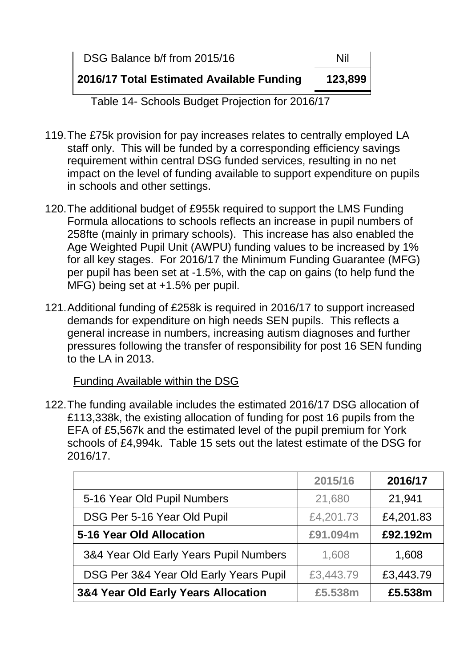| DSG Balance b/f from 2015/16              | Nil     |
|-------------------------------------------|---------|
| 2016/17 Total Estimated Available Funding | 123,899 |

Table 14- Schools Budget Projection for 2016/17

- 119.The £75k provision for pay increases relates to centrally employed LA staff only. This will be funded by a corresponding efficiency savings requirement within central DSG funded services, resulting in no net impact on the level of funding available to support expenditure on pupils in schools and other settings.
- 120.The additional budget of £955k required to support the LMS Funding Formula allocations to schools reflects an increase in pupil numbers of 258fte (mainly in primary schools). This increase has also enabled the Age Weighted Pupil Unit (AWPU) funding values to be increased by 1% for all key stages. For 2016/17 the Minimum Funding Guarantee (MFG) per pupil has been set at -1.5%, with the cap on gains (to help fund the MFG) being set at +1.5% per pupil.
- 121.Additional funding of £258k is required in 2016/17 to support increased demands for expenditure on high needs SEN pupils. This reflects a general increase in numbers, increasing autism diagnoses and further pressures following the transfer of responsibility for post 16 SEN funding to the LA in 2013.

Funding Available within the DSG

122.The funding available includes the estimated 2016/17 DSG allocation of £113,338k, the existing allocation of funding for post 16 pupils from the EFA of £5,567k and the estimated level of the pupil premium for York schools of £4,994k. Table 15 sets out the latest estimate of the DSG for 2016/17.

|                                        | 2015/16   | 2016/17   |
|----------------------------------------|-----------|-----------|
| 5-16 Year Old Pupil Numbers            | 21,680    | 21,941    |
| DSG Per 5-16 Year Old Pupil            | £4,201.73 | £4,201.83 |
| 5-16 Year Old Allocation               | £91.094m  | £92.192m  |
| 3&4 Year Old Early Years Pupil Numbers | 1,608     | 1,608     |
| DSG Per 3&4 Year Old Early Years Pupil | £3,443.79 | £3,443.79 |
| 3&4 Year Old Early Years Allocation    | £5.538m   | £5.538m   |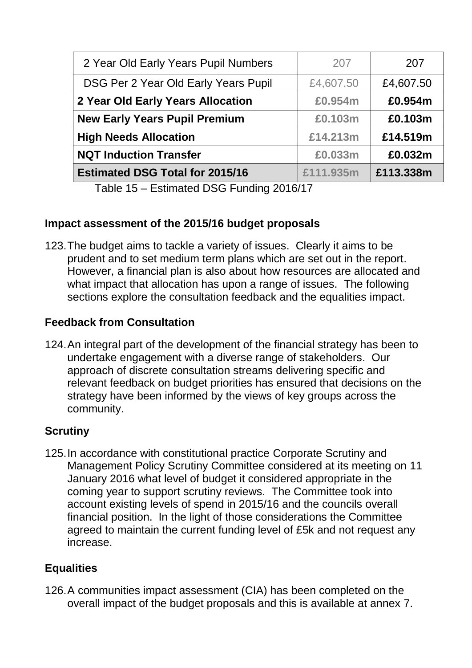| 2 Year Old Early Years Pupil Numbers   | 207       | 207       |
|----------------------------------------|-----------|-----------|
| DSG Per 2 Year Old Early Years Pupil   | £4,607.50 | £4,607.50 |
| 2 Year Old Early Years Allocation      | £0.954m   | £0.954m   |
| <b>New Early Years Pupil Premium</b>   | £0.103m   | £0.103m   |
| <b>High Needs Allocation</b>           | £14.213m  | £14.519m  |
| <b>NQT Induction Transfer</b>          | £0.033m   | £0.032m   |
| <b>Estimated DSG Total for 2015/16</b> | £111.935m | £113.338m |

Table 15 – Estimated DSG Funding 2016/17

## **Impact assessment of the 2015/16 budget proposals**

123.The budget aims to tackle a variety of issues. Clearly it aims to be prudent and to set medium term plans which are set out in the report. However, a financial plan is also about how resources are allocated and what impact that allocation has upon a range of issues. The following sections explore the consultation feedback and the equalities impact.

# **Feedback from Consultation**

124.An integral part of the development of the financial strategy has been to undertake engagement with a diverse range of stakeholders. Our approach of discrete consultation streams delivering specific and relevant feedback on budget priorities has ensured that decisions on the strategy have been informed by the views of key groups across the community.

# **Scrutiny**

125.In accordance with constitutional practice Corporate Scrutiny and Management Policy Scrutiny Committee considered at its meeting on 11 January 2016 what level of budget it considered appropriate in the coming year to support scrutiny reviews. The Committee took into account existing levels of spend in 2015/16 and the councils overall financial position. In the light of those considerations the Committee agreed to maintain the current funding level of £5k and not request any increase.

# **Equalities**

126.A communities impact assessment (CIA) has been completed on the overall impact of the budget proposals and this is available at annex 7.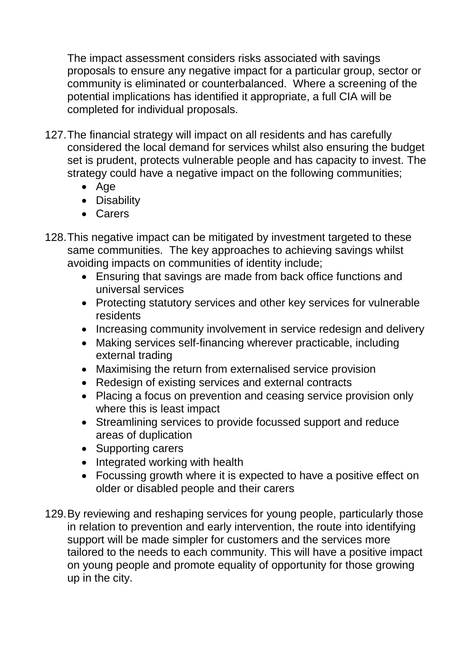The impact assessment considers risks associated with savings proposals to ensure any negative impact for a particular group, sector or community is eliminated or counterbalanced. Where a screening of the potential implications has identified it appropriate, a full CIA will be completed for individual proposals.

- 127.The financial strategy will impact on all residents and has carefully considered the local demand for services whilst also ensuring the budget set is prudent, protects vulnerable people and has capacity to invest. The strategy could have a negative impact on the following communities;
	- Age
	- Disability
	- Carers
- 128.This negative impact can be mitigated by investment targeted to these same communities. The key approaches to achieving savings whilst avoiding impacts on communities of identity include;
	- Ensuring that savings are made from back office functions and universal services
	- Protecting statutory services and other key services for vulnerable residents
	- Increasing community involvement in service redesign and delivery
	- Making services self-financing wherever practicable, including external trading
	- Maximising the return from externalised service provision
	- Redesign of existing services and external contracts
	- Placing a focus on prevention and ceasing service provision only where this is least impact
	- Streamlining services to provide focussed support and reduce areas of duplication
	- Supporting carers
	- Integrated working with health
	- Focussing growth where it is expected to have a positive effect on older or disabled people and their carers
- 129.By reviewing and reshaping services for young people, particularly those in relation to prevention and early intervention, the route into identifying support will be made simpler for customers and the services more tailored to the needs to each community. This will have a positive impact on young people and promote equality of opportunity for those growing up in the city.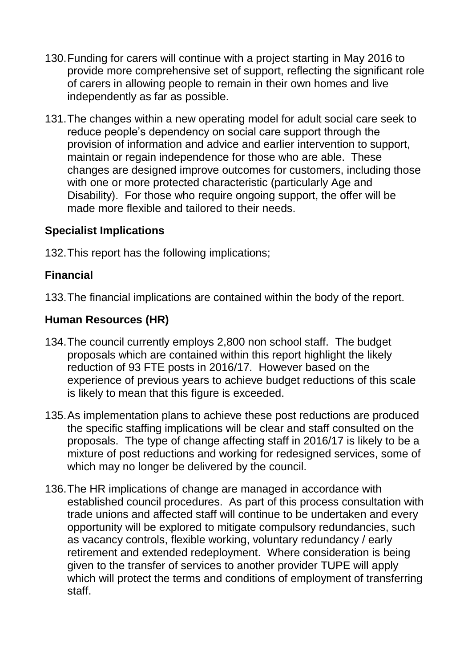- 130.Funding for carers will continue with a project starting in May 2016 to provide more comprehensive set of support, reflecting the significant role of carers in allowing people to remain in their own homes and live independently as far as possible.
- 131.The changes within a new operating model for adult social care seek to reduce people"s dependency on social care support through the provision of information and advice and earlier intervention to support, maintain or regain independence for those who are able. These changes are designed improve outcomes for customers, including those with one or more protected characteristic (particularly Age and Disability). For those who require ongoing support, the offer will be made more flexible and tailored to their needs.

## **Specialist Implications**

132.This report has the following implications;

## **Financial**

133.The financial implications are contained within the body of the report.

# **Human Resources (HR)**

- 134.The council currently employs 2,800 non school staff. The budget proposals which are contained within this report highlight the likely reduction of 93 FTE posts in 2016/17. However based on the experience of previous years to achieve budget reductions of this scale is likely to mean that this figure is exceeded.
- 135.As implementation plans to achieve these post reductions are produced the specific staffing implications will be clear and staff consulted on the proposals. The type of change affecting staff in 2016/17 is likely to be a mixture of post reductions and working for redesigned services, some of which may no longer be delivered by the council.
- 136.The HR implications of change are managed in accordance with established council procedures. As part of this process consultation with trade unions and affected staff will continue to be undertaken and every opportunity will be explored to mitigate compulsory redundancies, such as vacancy controls, flexible working, voluntary redundancy / early retirement and extended redeployment. Where consideration is being given to the transfer of services to another provider TUPE will apply which will protect the terms and conditions of employment of transferring staff.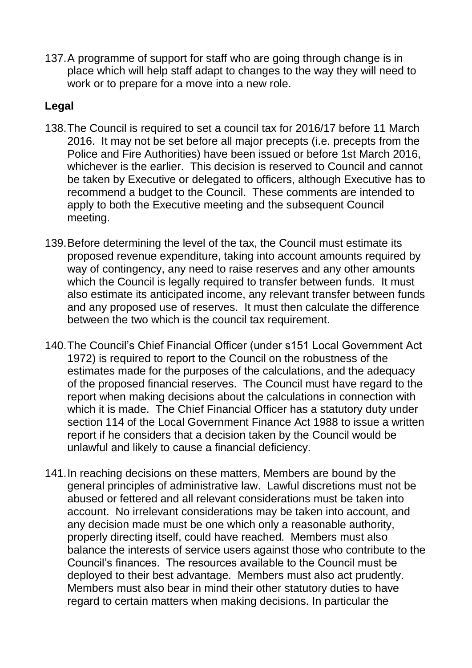137.A programme of support for staff who are going through change is in place which will help staff adapt to changes to the way they will need to work or to prepare for a move into a new role.

## **Legal**

- 138.The Council is required to set a council tax for 2016/17 before 11 March 2016. It may not be set before all major precepts (i.e. precepts from the Police and Fire Authorities) have been issued or before 1st March 2016, whichever is the earlier. This decision is reserved to Council and cannot be taken by Executive or delegated to officers, although Executive has to recommend a budget to the Council. These comments are intended to apply to both the Executive meeting and the subsequent Council meeting.
- 139.Before determining the level of the tax, the Council must estimate its proposed revenue expenditure, taking into account amounts required by way of contingency, any need to raise reserves and any other amounts which the Council is legally required to transfer between funds. It must also estimate its anticipated income, any relevant transfer between funds and any proposed use of reserves. It must then calculate the difference between the two which is the council tax requirement.
- 140.The Council"s Chief Financial Officer (under s151 Local Government Act 1972) is required to report to the Council on the robustness of the estimates made for the purposes of the calculations, and the adequacy of the proposed financial reserves. The Council must have regard to the report when making decisions about the calculations in connection with which it is made. The Chief Financial Officer has a statutory duty under section 114 of the Local Government Finance Act 1988 to issue a written report if he considers that a decision taken by the Council would be unlawful and likely to cause a financial deficiency.
- 141.In reaching decisions on these matters, Members are bound by the general principles of administrative law. Lawful discretions must not be abused or fettered and all relevant considerations must be taken into account. No irrelevant considerations may be taken into account, and any decision made must be one which only a reasonable authority, properly directing itself, could have reached. Members must also balance the interests of service users against those who contribute to the Council"s finances. The resources available to the Council must be deployed to their best advantage. Members must also act prudently. Members must also bear in mind their other statutory duties to have regard to certain matters when making decisions. In particular the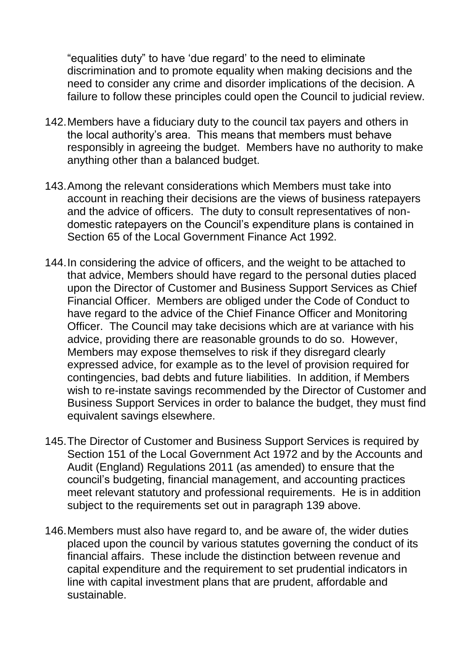"equalities duty" to have "due regard" to the need to eliminate discrimination and to promote equality when making decisions and the need to consider any crime and disorder implications of the decision. A failure to follow these principles could open the Council to judicial review.

- 142.Members have a fiduciary duty to the council tax payers and others in the local authority"s area. This means that members must behave responsibly in agreeing the budget. Members have no authority to make anything other than a balanced budget.
- 143.Among the relevant considerations which Members must take into account in reaching their decisions are the views of business ratepayers and the advice of officers. The duty to consult representatives of nondomestic ratepayers on the Council"s expenditure plans is contained in Section 65 of the Local Government Finance Act 1992.
- 144.In considering the advice of officers, and the weight to be attached to that advice, Members should have regard to the personal duties placed upon the Director of Customer and Business Support Services as Chief Financial Officer. Members are obliged under the Code of Conduct to have regard to the advice of the Chief Finance Officer and Monitoring Officer. The Council may take decisions which are at variance with his advice, providing there are reasonable grounds to do so. However, Members may expose themselves to risk if they disregard clearly expressed advice, for example as to the level of provision required for contingencies, bad debts and future liabilities. In addition, if Members wish to re-instate savings recommended by the Director of Customer and Business Support Services in order to balance the budget, they must find equivalent savings elsewhere.
- 145.The Director of Customer and Business Support Services is required by Section 151 of the Local Government Act 1972 and by the Accounts and Audit (England) Regulations 2011 (as amended) to ensure that the council"s budgeting, financial management, and accounting practices meet relevant statutory and professional requirements. He is in addition subject to the requirements set out in paragraph 139 above.
- 146.Members must also have regard to, and be aware of, the wider duties placed upon the council by various statutes governing the conduct of its financial affairs. These include the distinction between revenue and capital expenditure and the requirement to set prudential indicators in line with capital investment plans that are prudent, affordable and sustainable.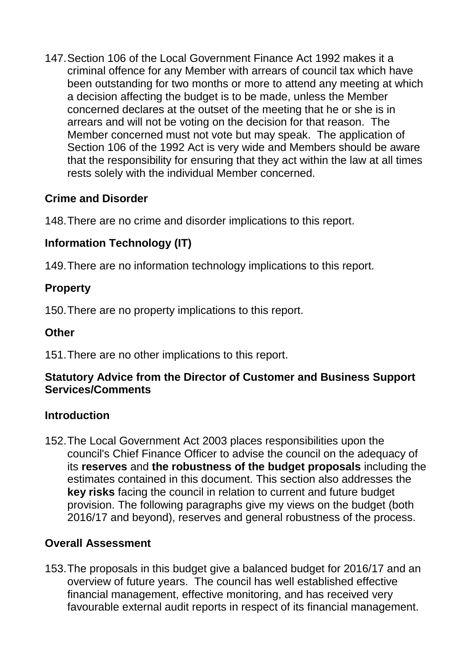147.Section 106 of the Local Government Finance Act 1992 makes it a criminal offence for any Member with arrears of council tax which have been outstanding for two months or more to attend any meeting at which a decision affecting the budget is to be made, unless the Member concerned declares at the outset of the meeting that he or she is in arrears and will not be voting on the decision for that reason. The Member concerned must not vote but may speak. The application of Section 106 of the 1992 Act is very wide and Members should be aware that the responsibility for ensuring that they act within the law at all times rests solely with the individual Member concerned.

## **Crime and Disorder**

148.There are no crime and disorder implications to this report.

# **Information Technology (IT)**

149.There are no information technology implications to this report.

## **Property**

150.There are no property implications to this report.

## **Other**

151.There are no other implications to this report.

## **Statutory Advice from the Director of Customer and Business Support Services/Comments**

## **Introduction**

152.The Local Government Act 2003 places responsibilities upon the council's Chief Finance Officer to advise the council on the adequacy of its **reserves** and **the robustness of the budget proposals** including the estimates contained in this document. This section also addresses the **key risks** facing the council in relation to current and future budget provision. The following paragraphs give my views on the budget (both 2016/17 and beyond), reserves and general robustness of the process.

## **Overall Assessment**

153.The proposals in this budget give a balanced budget for 2016/17 and an overview of future years. The council has well established effective financial management, effective monitoring, and has received very favourable external audit reports in respect of its financial management.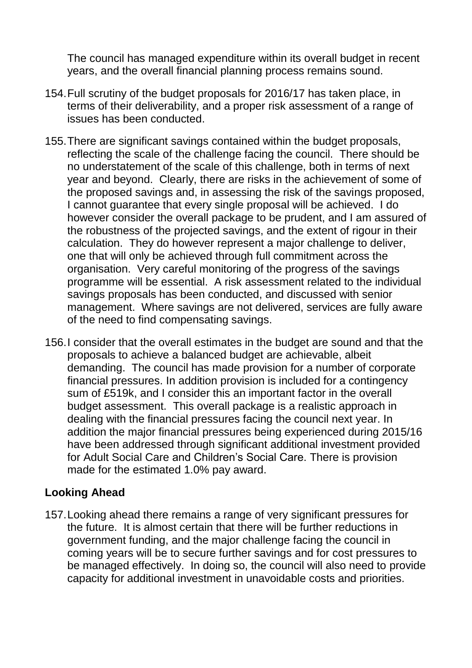The council has managed expenditure within its overall budget in recent years, and the overall financial planning process remains sound.

- 154.Full scrutiny of the budget proposals for 2016/17 has taken place, in terms of their deliverability, and a proper risk assessment of a range of issues has been conducted.
- 155.There are significant savings contained within the budget proposals, reflecting the scale of the challenge facing the council. There should be no understatement of the scale of this challenge, both in terms of next year and beyond. Clearly, there are risks in the achievement of some of the proposed savings and, in assessing the risk of the savings proposed, I cannot guarantee that every single proposal will be achieved. I do however consider the overall package to be prudent, and I am assured of the robustness of the projected savings, and the extent of rigour in their calculation. They do however represent a major challenge to deliver, one that will only be achieved through full commitment across the organisation. Very careful monitoring of the progress of the savings programme will be essential. A risk assessment related to the individual savings proposals has been conducted, and discussed with senior management. Where savings are not delivered, services are fully aware of the need to find compensating savings.
- 156.I consider that the overall estimates in the budget are sound and that the proposals to achieve a balanced budget are achievable, albeit demanding. The council has made provision for a number of corporate financial pressures. In addition provision is included for a contingency sum of £519k, and I consider this an important factor in the overall budget assessment. This overall package is a realistic approach in dealing with the financial pressures facing the council next year. In addition the major financial pressures being experienced during 2015/16 have been addressed through significant additional investment provided for Adult Social Care and Children"s Social Care. There is provision made for the estimated 1.0% pay award.

#### **Looking Ahead**

157.Looking ahead there remains a range of very significant pressures for the future. It is almost certain that there will be further reductions in government funding, and the major challenge facing the council in coming years will be to secure further savings and for cost pressures to be managed effectively. In doing so, the council will also need to provide capacity for additional investment in unavoidable costs and priorities.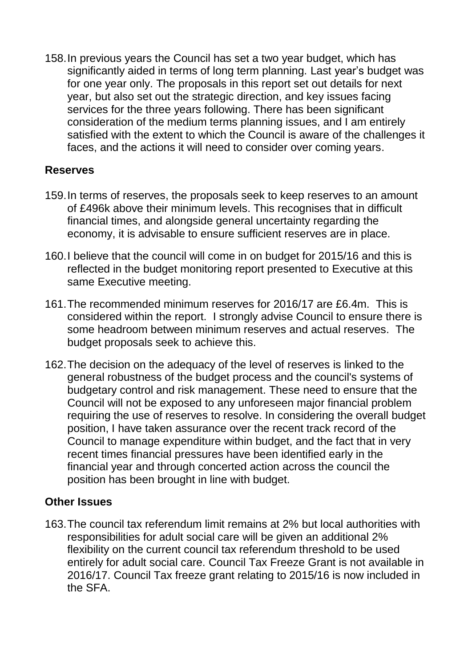158.In previous years the Council has set a two year budget, which has significantly aided in terms of long term planning. Last year's budget was for one year only. The proposals in this report set out details for next year, but also set out the strategic direction, and key issues facing services for the three years following. There has been significant consideration of the medium terms planning issues, and I am entirely satisfied with the extent to which the Council is aware of the challenges it faces, and the actions it will need to consider over coming years.

#### **Reserves**

- 159.In terms of reserves, the proposals seek to keep reserves to an amount of £496k above their minimum levels. This recognises that in difficult financial times, and alongside general uncertainty regarding the economy, it is advisable to ensure sufficient reserves are in place.
- 160.I believe that the council will come in on budget for 2015/16 and this is reflected in the budget monitoring report presented to Executive at this same Executive meeting.
- 161.The recommended minimum reserves for 2016/17 are £6.4m. This is considered within the report. I strongly advise Council to ensure there is some headroom between minimum reserves and actual reserves. The budget proposals seek to achieve this.
- 162.The decision on the adequacy of the level of reserves is linked to the general robustness of the budget process and the council's systems of budgetary control and risk management. These need to ensure that the Council will not be exposed to any unforeseen major financial problem requiring the use of reserves to resolve. In considering the overall budget position, I have taken assurance over the recent track record of the Council to manage expenditure within budget, and the fact that in very recent times financial pressures have been identified early in the financial year and through concerted action across the council the position has been brought in line with budget.

#### **Other Issues**

163.The council tax referendum limit remains at 2% but local authorities with responsibilities for adult social care will be given an additional 2% flexibility on the current council tax referendum threshold to be used entirely for adult social care. Council Tax Freeze Grant is not available in 2016/17. Council Tax freeze grant relating to 2015/16 is now included in the SFA.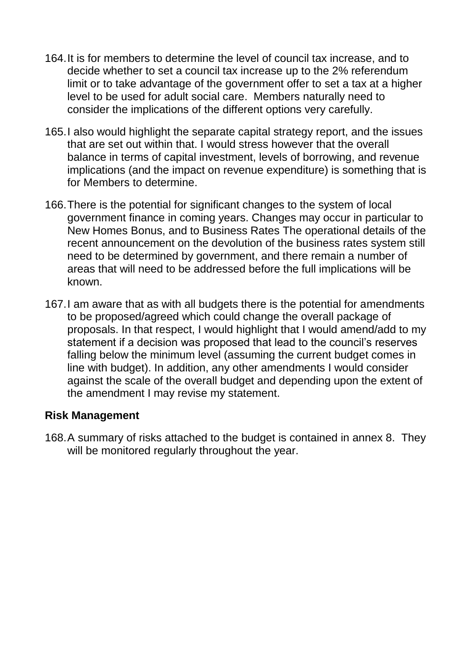- 164.It is for members to determine the level of council tax increase, and to decide whether to set a council tax increase up to the 2% referendum limit or to take advantage of the government offer to set a tax at a higher level to be used for adult social care. Members naturally need to consider the implications of the different options very carefully.
- 165.I also would highlight the separate capital strategy report, and the issues that are set out within that. I would stress however that the overall balance in terms of capital investment, levels of borrowing, and revenue implications (and the impact on revenue expenditure) is something that is for Members to determine.
- 166.There is the potential for significant changes to the system of local government finance in coming years. Changes may occur in particular to New Homes Bonus, and to Business Rates The operational details of the recent announcement on the devolution of the business rates system still need to be determined by government, and there remain a number of areas that will need to be addressed before the full implications will be known.
- 167.I am aware that as with all budgets there is the potential for amendments to be proposed/agreed which could change the overall package of proposals. In that respect, I would highlight that I would amend/add to my statement if a decision was proposed that lead to the council"s reserves falling below the minimum level (assuming the current budget comes in line with budget). In addition, any other amendments I would consider against the scale of the overall budget and depending upon the extent of the amendment I may revise my statement.

#### **Risk Management**

168.A summary of risks attached to the budget is contained in annex 8. They will be monitored regularly throughout the year.